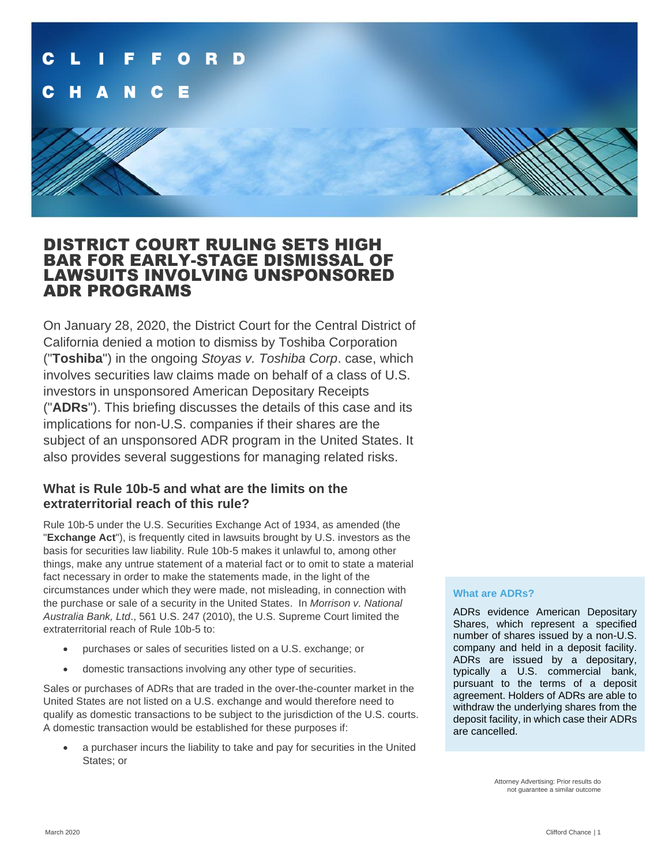

### DISTRICT COURT RULING SETS HIGH BAR FOR EARLY-STAGE DISMISSAL OF LAWSUITS INVOLVING UNSPONSORED ADR PROGRAMS

On January 28, 2020, the District Court for the Central District of California denied a motion to dismiss by Toshiba Corporation ("**Toshiba**") in the ongoing *Stoyas v. Toshiba Corp*. case, which involves securities law claims made on behalf of a class of U.S. investors in unsponsored American Depositary Receipts ("**ADRs**"). This briefing discusses the details of this case and its implications for non-U.S. companies if their shares are the subject of an unsponsored ADR program in the United States. It also provides several suggestions for managing related risks.

### **What is Rule 10b-5 and what are the limits on the extraterritorial reach of this rule?**

Rule 10b-5 under the U.S. Securities Exchange Act of 1934, as amended (the "**Exchange Act**"), is frequently cited in lawsuits brought by U.S. investors as the basis for securities law liability. Rule 10b-5 makes it unlawful to, among other things, make any untrue statement of a material fact or to omit to state a material fact necessary in order to make the statements made, in the light of the circumstances under which they were made, not misleading, in connection with the purchase or sale of a security in the United States. In *Morrison v. National Australia Bank, Ltd*., 561 U.S. 247 (2010), the U.S. Supreme Court limited the extraterritorial reach of Rule 10b-5 to:

- purchases or sales of securities listed on a U.S. exchange; or
- domestic transactions involving any other type of securities.

Sales or purchases of ADRs that are traded in the over-the-counter market in the United States are not listed on a U.S. exchange and would therefore need to qualify as domestic transactions to be subject to the jurisdiction of the U.S. courts. A domestic transaction would be established for these purposes if:

• a purchaser incurs the liability to take and pay for securities in the United States; or

#### **What are ADRs?**

ADRs evidence American Depositary Shares, which represent a specified number of shares issued by a non-U.S. company and held in a deposit facility. ADRs are issued by a depositary, typically a U.S. commercial bank, pursuant to the terms of a deposit agreement. Holders of ADRs are able to withdraw the underlying shares from the deposit facility, in which case their ADRs are cancelled.

> Attorney Advertising: Prior results do not guarantee a similar outcome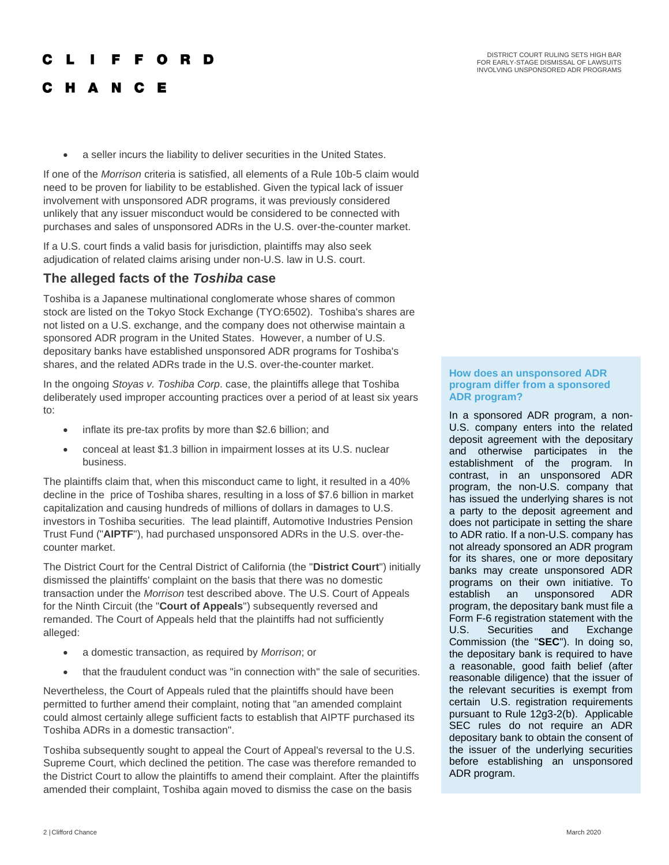# F F O R D C H A N C

Е

a seller incurs the liability to deliver securities in the United States.

If one of the *Morrison* criteria is satisfied, all elements of a Rule 10b-5 claim would need to be proven for liability to be established. Given the typical lack of issuer involvement with unsponsored ADR programs, it was previously considered unlikely that any issuer misconduct would be considered to be connected with purchases and sales of unsponsored ADRs in the U.S. over-the-counter market.

If a U.S. court finds a valid basis for jurisdiction, plaintiffs may also seek adjudication of related claims arising under non-U.S. law in U.S. court.

### **The alleged facts of the** *Toshiba* **case**

Toshiba is a Japanese multinational conglomerate whose shares of common stock are listed on the Tokyo Stock Exchange (TYO:6502). Toshiba's shares are not listed on a U.S. exchange, and the company does not otherwise maintain a sponsored ADR program in the United States. However, a number of U.S. depositary banks have established unsponsored ADR programs for Toshiba's shares, and the related ADRs trade in the U.S. over-the-counter market.

In the ongoing *Stoyas v. Toshiba Corp*. case, the plaintiffs allege that Toshiba deliberately used improper accounting practices over a period of at least six years to:

- inflate its pre-tax profits by more than \$2.6 billion; and
- conceal at least \$1.3 billion in impairment losses at its U.S. nuclear business.

The plaintiffs claim that, when this misconduct came to light, it resulted in a 40% decline in the price of Toshiba shares, resulting in a loss of \$7.6 billion in market capitalization and causing hundreds of millions of dollars in damages to U.S. investors in Toshiba securities. The lead plaintiff, Automotive Industries Pension Trust Fund ("**AIPTF**"), had purchased unsponsored ADRs in the U.S. over-thecounter market.

The District Court for the Central District of California (the "**District Court**") initially dismissed the plaintiffs' complaint on the basis that there was no domestic transaction under the *Morrison* test described above. The U.S. Court of Appeals for the Ninth Circuit (the "**Court of Appeals**") subsequently reversed and remanded. The Court of Appeals held that the plaintiffs had not sufficiently alleged:

- a domestic transaction, as required by *Morrison*; or
- that the fraudulent conduct was "in connection with" the sale of securities.

Nevertheless, the Court of Appeals ruled that the plaintiffs should have been permitted to further amend their complaint, noting that "an amended complaint could almost certainly allege sufficient facts to establish that AIPTF purchased its Toshiba ADRs in a domestic transaction".

Toshiba subsequently sought to appeal the Court of Appeal's reversal to the U.S. Supreme Court, which declined the petition. The case was therefore remanded to the District Court to allow the plaintiffs to amend their complaint. After the plaintiffs amended their complaint, Toshiba again moved to dismiss the case on the basis

#### **How does an unsponsored ADR program differ from a sponsored ADR program?**

In a sponsored ADR program, a non-U.S. company enters into the related deposit agreement with the depositary and otherwise participates in the establishment of the program. In contrast, in an unsponsored ADR program, the non-U.S. company that has issued the underlying shares is not a party to the deposit agreement and does not participate in setting the share to ADR ratio. If a non-U.S. company has not already sponsored an ADR program for its shares, one or more depositary banks may create unsponsored ADR programs on their own initiative. To establish an unsponsored ADR program, the depositary bank must file a Form F-6 registration statement with the U.S. Securities and Exchange Commission (the "**SEC**"). In doing so, the depositary bank is required to have a reasonable, good faith belief (after reasonable diligence) that the issuer of the relevant securities is exempt from certain U.S. registration requirements pursuant to Rule 12g3-2(b). Applicable SEC rules do not require an ADR depositary bank to obtain the consent of the issuer of the underlying securities before establishing an unsponsored ADR program.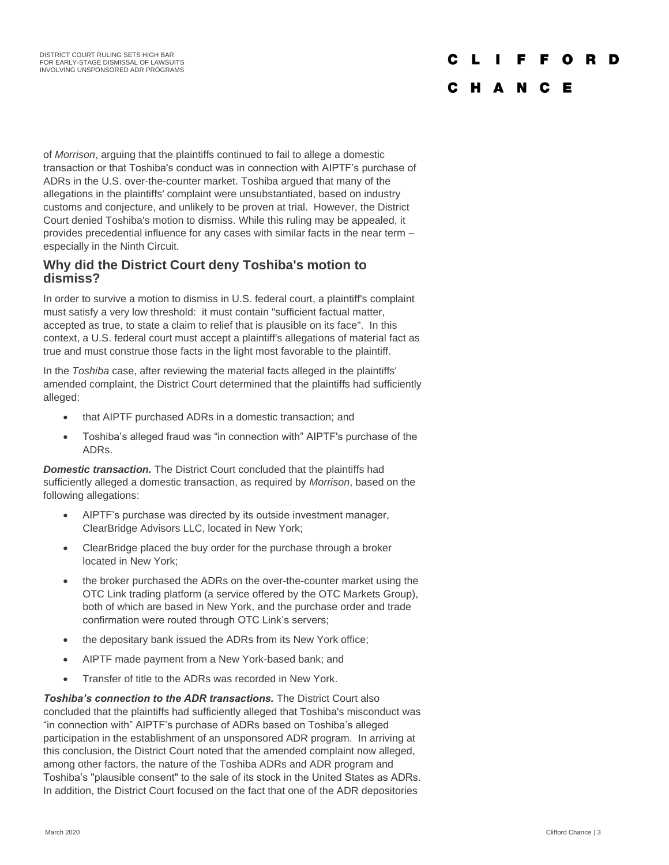## C L I F F O R D

### C H A N C E

of *Morrison*, arguing that the plaintiffs continued to fail to allege a domestic transaction or that Toshiba's conduct was in connection with AIPTF's purchase of ADRs in the U.S. over-the-counter market. Toshiba argued that many of the allegations in the plaintiffs' complaint were unsubstantiated, based on industry customs and conjecture, and unlikely to be proven at trial. However, the District Court denied Toshiba's motion to dismiss. While this ruling may be appealed, it provides precedential influence for any cases with similar facts in the near term – especially in the Ninth Circuit.

### **Why did the District Court deny Toshiba's motion to dismiss?**

In order to survive a motion to dismiss in U.S. federal court, a plaintiff's complaint must satisfy a very low threshold: it must contain "sufficient factual matter, accepted as true, to state a claim to relief that is plausible on its face". In this context, a U.S. federal court must accept a plaintiff's allegations of material fact as true and must construe those facts in the light most favorable to the plaintiff.

In the *Toshiba* case, after reviewing the material facts alleged in the plaintiffs' amended complaint, the District Court determined that the plaintiffs had sufficiently alleged:

- that AIPTF purchased ADRs in a domestic transaction; and
- Toshiba's alleged fraud was "in connection with" AIPTF's purchase of the ADRs.

**Domestic transaction.** The District Court concluded that the plaintiffs had sufficiently alleged a domestic transaction, as required by *Morrison*, based on the following allegations:

- AIPTF's purchase was directed by its outside investment manager, ClearBridge Advisors LLC, located in New York;
- ClearBridge placed the buy order for the purchase through a broker located in New York;
- the broker purchased the ADRs on the over-the-counter market using the OTC Link trading platform (a service offered by the OTC Markets Group), both of which are based in New York, and the purchase order and trade confirmation were routed through OTC Link's servers;
- the depositary bank issued the ADRs from its New York office;
- AIPTF made payment from a New York-based bank; and
- Transfer of title to the ADRs was recorded in New York.

**Toshiba's connection to the ADR transactions.** The District Court also concluded that the plaintiffs had sufficiently alleged that Toshiba's misconduct was "in connection with" AIPTF's purchase of ADRs based on Toshiba's alleged participation in the establishment of an unsponsored ADR program. In arriving at this conclusion, the District Court noted that the amended complaint now alleged, among other factors, the nature of the Toshiba ADRs and ADR program and Toshiba's "plausible consent" to the sale of its stock in the United States as ADRs. In addition, the District Court focused on the fact that one of the ADR depositories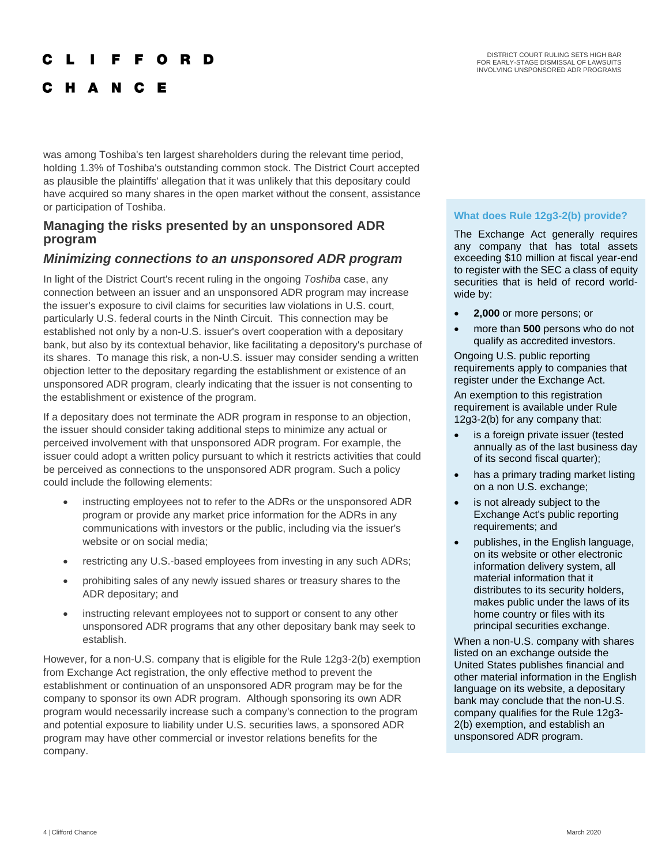#### DISTRICT COURT RULING SETS HIGH BAR FOR EARLY-STAGE DISMISSAL OF LAWSUITS INVOLVING UNSPONSORED ADR PROGRAMS

# **FFORD**

C H A N C Е

was among Toshiba's ten largest shareholders during the relevant time period, holding 1.3% of Toshiba's outstanding common stock. The District Court accepted as plausible the plaintiffs' allegation that it was unlikely that this depositary could have acquired so many shares in the open market without the consent, assistance or participation of Toshiba.

### **Managing the risks presented by an unsponsored ADR program**

### *Minimizing connections to an unsponsored ADR program*

In light of the District Court's recent ruling in the ongoing *Toshiba* case, any connection between an issuer and an unsponsored ADR program may increase the issuer's exposure to civil claims for securities law violations in U.S. court, particularly U.S. federal courts in the Ninth Circuit. This connection may be established not only by a non-U.S. issuer's overt cooperation with a depositary bank, but also by its contextual behavior, like facilitating a depository's purchase of its shares. To manage this risk, a non-U.S. issuer may consider sending a written objection letter to the depositary regarding the establishment or existence of an unsponsored ADR program, clearly indicating that the issuer is not consenting to the establishment or existence of the program.

If a depositary does not terminate the ADR program in response to an objection, the issuer should consider taking additional steps to minimize any actual or perceived involvement with that unsponsored ADR program. For example, the issuer could adopt a written policy pursuant to which it restricts activities that could be perceived as connections to the unsponsored ADR program. Such a policy could include the following elements:

- instructing employees not to refer to the ADRs or the unsponsored ADR program or provide any market price information for the ADRs in any communications with investors or the public, including via the issuer's website or on social media;
- restricting any U.S.-based employees from investing in any such ADRs;
- prohibiting sales of any newly issued shares or treasury shares to the ADR depositary; and
- instructing relevant employees not to support or consent to any other unsponsored ADR programs that any other depositary bank may seek to establish.

However, for a non-U.S. company that is eligible for the Rule 12g3-2(b) exemption from Exchange Act registration, the only effective method to prevent the establishment or continuation of an unsponsored ADR program may be for the company to sponsor its own ADR program. Although sponsoring its own ADR program would necessarily increase such a company's connection to the program and potential exposure to liability under U.S. securities laws, a sponsored ADR program may have other commercial or investor relations benefits for the company.

### **What does Rule 12g3-2(b) provide?**

The Exchange Act generally requires any company that has total assets exceeding \$10 million at fiscal year-end to register with the SEC a class of equity securities that is held of record worldwide by:

- **2,000** or more persons; or
- more than **500** persons who do not qualify as accredited investors.

Ongoing U.S. public reporting requirements apply to companies that register under the Exchange Act.

An exemption to this registration requirement is available under Rule 12g3-2(b) for any company that:

- is a foreign private issuer (tested annually as of the last business day of its second fiscal quarter);
- has a primary trading market listing on a non U.S. exchange;
- is not already subject to the Exchange Act's public reporting requirements; and
- publishes, in the English language, on its website or other electronic information delivery system, all material information that it distributes to its security holders, makes public under the laws of its home country or files with its principal securities exchange.

When a non-U.S. company with shares listed on an exchange outside the United States publishes financial and other material information in the English language on its website, a depositary bank may conclude that the non-U.S. company qualifies for the Rule 12g3- 2(b) exemption, and establish an unsponsored ADR program.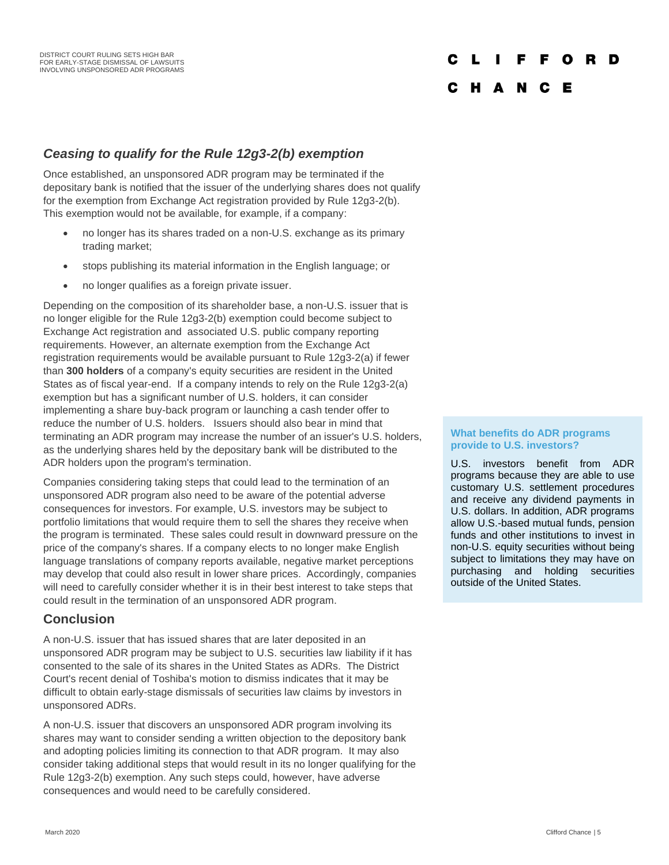#### F F O **D**

### C H A N C E

### *Ceasing to qualify for the Rule 12g3-2(b) exemption*

Once established, an unsponsored ADR program may be terminated if the depositary bank is notified that the issuer of the underlying shares does not qualify for the exemption from Exchange Act registration provided by Rule 12g3-2(b). This exemption would not be available, for example, if a company:

- no longer has its shares traded on a non-U.S. exchange as its primary trading market;
- stops publishing its material information in the English language; or
- no longer qualifies as a foreign private issuer.

Depending on the composition of its shareholder base, a non-U.S. issuer that is no longer eligible for the Rule 12g3-2(b) exemption could become subject to Exchange Act registration and associated U.S. public company reporting requirements. However, an alternate exemption from the Exchange Act registration requirements would be available pursuant to Rule 12g3-2(a) if fewer than **300 holders** of a company's equity securities are resident in the United States as of fiscal year-end. If a company intends to rely on the Rule 12g3-2(a) exemption but has a significant number of U.S. holders, it can consider implementing a share buy-back program or launching a cash tender offer to reduce the number of U.S. holders. Issuers should also bear in mind that terminating an ADR program may increase the number of an issuer's U.S. holders, as the underlying shares held by the depositary bank will be distributed to the ADR holders upon the program's termination.

Companies considering taking steps that could lead to the termination of an unsponsored ADR program also need to be aware of the potential adverse consequences for investors. For example, U.S. investors may be subject to portfolio limitations that would require them to sell the shares they receive when the program is terminated. These sales could result in downward pressure on the price of the company's shares. If a company elects to no longer make English language translations of company reports available, negative market perceptions may develop that could also result in lower share prices. Accordingly, companies will need to carefully consider whether it is in their best interest to take steps that could result in the termination of an unsponsored ADR program.

### **Conclusion**

A non-U.S. issuer that has issued shares that are later deposited in an unsponsored ADR program may be subject to U.S. securities law liability if it has consented to the sale of its shares in the United States as ADRs. The District Court's recent denial of Toshiba's motion to dismiss indicates that it may be difficult to obtain early-stage dismissals of securities law claims by investors in unsponsored ADRs.

A non-U.S. issuer that discovers an unsponsored ADR program involving its shares may want to consider sending a written objection to the depository bank and adopting policies limiting its connection to that ADR program. It may also consider taking additional steps that would result in its no longer qualifying for the Rule 12g3-2(b) exemption. Any such steps could, however, have adverse consequences and would need to be carefully considered.

#### **What benefits do ADR programs provide to U.S. investors?**

U.S. investors benefit from ADR programs because they are able to use customary U.S. settlement procedures and receive any dividend payments in U.S. dollars. In addition, ADR programs allow U.S.-based mutual funds, pension funds and other institutions to invest in non-U.S. equity securities without being subject to limitations they may have on purchasing and holding securities outside of the United States.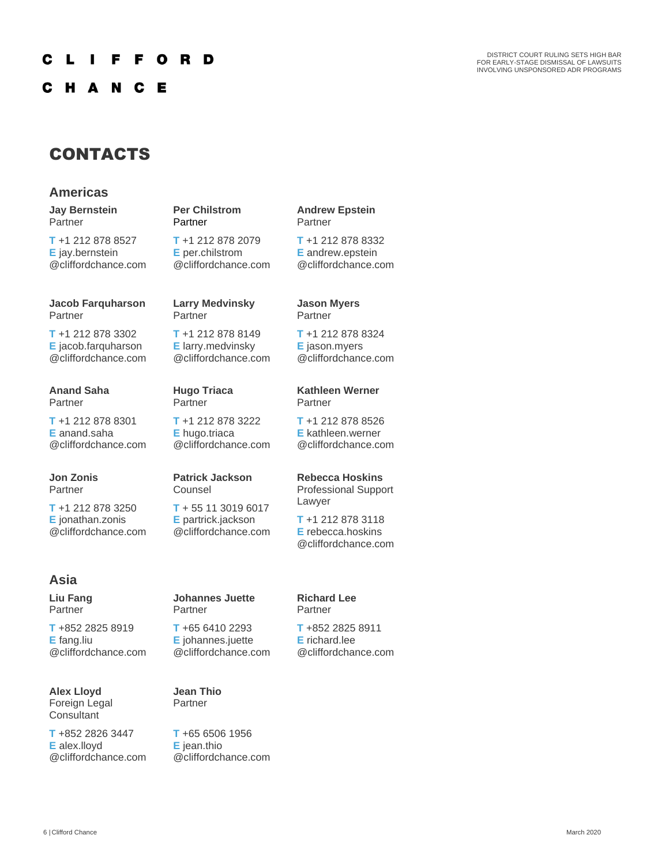#### F O R D C F L -1

H A N **C** Е

DISTRICT COURT RULING SETS HIGH BAR FOR EARLY-STAGE DISMISSAL OF LAWSUITS INVOLVING UNSPONSORED ADR PROGRAMS

# CONTACTS

### **Americas**

**Jay Bernstein** Partner

**T** +1 212 878 8527 **E** jay.bernstein @cliffordchance.com

#### **Jacob Farquharson** Partner

**T** +1 212 878 3302 **E** jacob.farquharson @cliffordchance.com

#### **Anand Saha** Partner

**T** +1 212 878 8301 **E** anand.saha @cliffordchance.com

**Jon Zonis** Partner

**T** +1 212 878 3250 **E** jonathan.zonis @cliffordchance.com

### **Asia**

**Liu Fang** Partner

**T** +852 2825 8919 **E** fang.liu @cliffordchance.com

**Alex Lloyd** Foreign Legal **Consultant** 

**T** +852 2826 3447 **E** alex.lloyd @cliffordchance.com **Per Chilstrom Partner** 

**T** +1 212 878 2079 **E** per.chilstrom @cliffordchance.com

#### **Larry Medvinsky** Partner

**T** +1 212 878 8149 **E** larry.medvinsky @cliffordchance.com

#### **Hugo Triaca Partner**

**T** +1 212 878 3222 **E** hugo.triaca

@cliffordchance.com

#### **Patrick Jackson** Counsel

**T** + 55 11 3019 6017 **E** partrick.jackson @cliffordchance.com

**Johannes Juette**

**T** +65 6410 2293 **E** johannes.juette @cliffordchance.com

# **Kathleen Werner**

**T** +1 212 878 8324 **E** jason.myers @cliffordchance.com

**Andrew Epstein**

**T** +1 212 878 8332 **E** andrew.epstein @cliffordchance.com

Partner

Partner

**Jason Myers** Partner

**T** +1 212 878 8526 **E** kathleen.werner @cliffordchance.com

### **Rebecca Hoskins**

Professional Support Lawyer **T** +1 212 878 3118 **E** rebecca.hoskins

@cliffordchance.com

#### **Richard Lee** Partner

**T** +852 2825 8911 **E** richard.lee @cliffordchance.com

**Jean Thio**  Partner

Partner

**T** +65 6506 1956 **E** jean.thio @cliffordchance.com